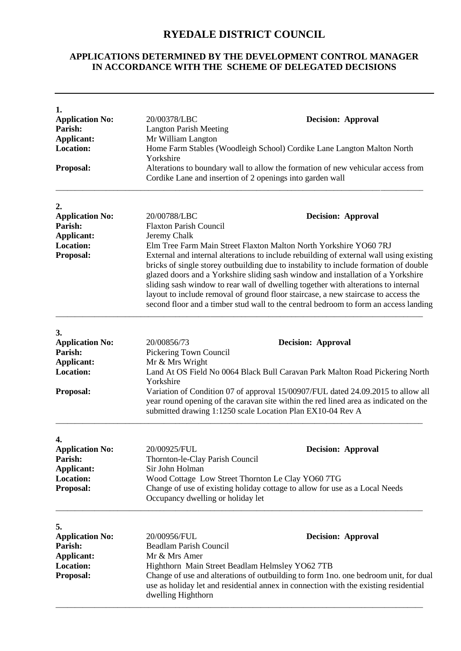## **RYEDALE DISTRICT COUNCIL**

## **APPLICATIONS DETERMINED BY THE DEVELOPMENT CONTROL MANAGER IN ACCORDANCE WITH THE SCHEME OF DELEGATED DECISIONS**

| 1.<br><b>Application No:</b><br>20/00378/LBC<br><b>Decision: Approval</b><br>Parish:<br><b>Langton Parish Meeting</b><br><b>Applicant:</b><br>Mr William Langton<br><b>Location:</b><br>Home Farm Stables (Woodleigh School) Cordike Lane Langton Malton North<br>Yorkshire<br><b>Proposal:</b><br>Alterations to boundary wall to allow the formation of new vehicular access from<br>Cordike Lane and insertion of 2 openings into garden wall<br>2.<br><b>Application No:</b><br>20/00788/LBC<br><b>Decision: Approval</b><br><b>Parish:</b><br><b>Flaxton Parish Council</b><br><b>Applicant:</b><br>Jeremy Chalk<br><b>Location:</b><br>Proposal: |                                                                                                                                                                                                                                                                                                                                                                                                                                                                                                                                                                                                               |  |  |
|--------------------------------------------------------------------------------------------------------------------------------------------------------------------------------------------------------------------------------------------------------------------------------------------------------------------------------------------------------------------------------------------------------------------------------------------------------------------------------------------------------------------------------------------------------------------------------------------------------------------------------------------------------|---------------------------------------------------------------------------------------------------------------------------------------------------------------------------------------------------------------------------------------------------------------------------------------------------------------------------------------------------------------------------------------------------------------------------------------------------------------------------------------------------------------------------------------------------------------------------------------------------------------|--|--|
|                                                                                                                                                                                                                                                                                                                                                                                                                                                                                                                                                                                                                                                        |                                                                                                                                                                                                                                                                                                                                                                                                                                                                                                                                                                                                               |  |  |
|                                                                                                                                                                                                                                                                                                                                                                                                                                                                                                                                                                                                                                                        |                                                                                                                                                                                                                                                                                                                                                                                                                                                                                                                                                                                                               |  |  |
|                                                                                                                                                                                                                                                                                                                                                                                                                                                                                                                                                                                                                                                        |                                                                                                                                                                                                                                                                                                                                                                                                                                                                                                                                                                                                               |  |  |
|                                                                                                                                                                                                                                                                                                                                                                                                                                                                                                                                                                                                                                                        |                                                                                                                                                                                                                                                                                                                                                                                                                                                                                                                                                                                                               |  |  |
|                                                                                                                                                                                                                                                                                                                                                                                                                                                                                                                                                                                                                                                        |                                                                                                                                                                                                                                                                                                                                                                                                                                                                                                                                                                                                               |  |  |
|                                                                                                                                                                                                                                                                                                                                                                                                                                                                                                                                                                                                                                                        |                                                                                                                                                                                                                                                                                                                                                                                                                                                                                                                                                                                                               |  |  |
|                                                                                                                                                                                                                                                                                                                                                                                                                                                                                                                                                                                                                                                        |                                                                                                                                                                                                                                                                                                                                                                                                                                                                                                                                                                                                               |  |  |
|                                                                                                                                                                                                                                                                                                                                                                                                                                                                                                                                                                                                                                                        |                                                                                                                                                                                                                                                                                                                                                                                                                                                                                                                                                                                                               |  |  |
|                                                                                                                                                                                                                                                                                                                                                                                                                                                                                                                                                                                                                                                        |                                                                                                                                                                                                                                                                                                                                                                                                                                                                                                                                                                                                               |  |  |
|                                                                                                                                                                                                                                                                                                                                                                                                                                                                                                                                                                                                                                                        | Elm Tree Farm Main Street Flaxton Malton North Yorkshire YO60 7RJ<br>External and internal alterations to include rebuilding of external wall using existing<br>bricks of single storey outbuilding due to instability to include formation of double<br>glazed doors and a Yorkshire sliding sash window and installation of a Yorkshire<br>sliding sash window to rear wall of dwelling together with alterations to internal<br>layout to include removal of ground floor staircase, a new staircase to access the<br>second floor and a timber stud wall to the central bedroom to form an access landing |  |  |
| 3.                                                                                                                                                                                                                                                                                                                                                                                                                                                                                                                                                                                                                                                     |                                                                                                                                                                                                                                                                                                                                                                                                                                                                                                                                                                                                               |  |  |
| <b>Application No:</b><br>20/00856/73<br><b>Decision: Approval</b>                                                                                                                                                                                                                                                                                                                                                                                                                                                                                                                                                                                     |                                                                                                                                                                                                                                                                                                                                                                                                                                                                                                                                                                                                               |  |  |
| Parish:                                                                                                                                                                                                                                                                                                                                                                                                                                                                                                                                                                                                                                                | Pickering Town Council                                                                                                                                                                                                                                                                                                                                                                                                                                                                                                                                                                                        |  |  |
| Applicant:                                                                                                                                                                                                                                                                                                                                                                                                                                                                                                                                                                                                                                             | Mr & Mrs Wright                                                                                                                                                                                                                                                                                                                                                                                                                                                                                                                                                                                               |  |  |
| <b>Location:</b>                                                                                                                                                                                                                                                                                                                                                                                                                                                                                                                                                                                                                                       | Land At OS Field No 0064 Black Bull Caravan Park Malton Road Pickering North                                                                                                                                                                                                                                                                                                                                                                                                                                                                                                                                  |  |  |
| <b>Proposal:</b><br>submitted drawing 1:1250 scale Location Plan EX10-04 Rev A                                                                                                                                                                                                                                                                                                                                                                                                                                                                                                                                                                         | Yorkshire<br>Variation of Condition 07 of approval 15/00907/FUL dated 24.09.2015 to allow all<br>year round opening of the caravan site within the red lined area as indicated on the                                                                                                                                                                                                                                                                                                                                                                                                                         |  |  |
| 4.                                                                                                                                                                                                                                                                                                                                                                                                                                                                                                                                                                                                                                                     |                                                                                                                                                                                                                                                                                                                                                                                                                                                                                                                                                                                                               |  |  |
| <b>Application No:</b><br>20/00925/FUL<br><b>Decision: Approval</b>                                                                                                                                                                                                                                                                                                                                                                                                                                                                                                                                                                                    |                                                                                                                                                                                                                                                                                                                                                                                                                                                                                                                                                                                                               |  |  |
| <b>Parish:</b><br>Thornton-le-Clay Parish Council                                                                                                                                                                                                                                                                                                                                                                                                                                                                                                                                                                                                      |                                                                                                                                                                                                                                                                                                                                                                                                                                                                                                                                                                                                               |  |  |
| <b>Applicant:</b><br>Sir John Holman                                                                                                                                                                                                                                                                                                                                                                                                                                                                                                                                                                                                                   |                                                                                                                                                                                                                                                                                                                                                                                                                                                                                                                                                                                                               |  |  |
| Location:<br>Wood Cottage Low Street Thornton Le Clay YO60 7TG                                                                                                                                                                                                                                                                                                                                                                                                                                                                                                                                                                                         |                                                                                                                                                                                                                                                                                                                                                                                                                                                                                                                                                                                                               |  |  |
| <b>Proposal:</b><br>Change of use of existing holiday cottage to allow for use as a Local Needs<br>Occupancy dwelling or holiday let                                                                                                                                                                                                                                                                                                                                                                                                                                                                                                                   |                                                                                                                                                                                                                                                                                                                                                                                                                                                                                                                                                                                                               |  |  |
| 5.                                                                                                                                                                                                                                                                                                                                                                                                                                                                                                                                                                                                                                                     |                                                                                                                                                                                                                                                                                                                                                                                                                                                                                                                                                                                                               |  |  |
| 20/00956/FUL<br><b>Decision: Approval</b><br><b>Application No:</b>                                                                                                                                                                                                                                                                                                                                                                                                                                                                                                                                                                                    |                                                                                                                                                                                                                                                                                                                                                                                                                                                                                                                                                                                                               |  |  |
| Parish:<br><b>Beadlam Parish Council</b>                                                                                                                                                                                                                                                                                                                                                                                                                                                                                                                                                                                                               |                                                                                                                                                                                                                                                                                                                                                                                                                                                                                                                                                                                                               |  |  |
| Mr & Mrs Amer<br>Applicant:                                                                                                                                                                                                                                                                                                                                                                                                                                                                                                                                                                                                                            |                                                                                                                                                                                                                                                                                                                                                                                                                                                                                                                                                                                                               |  |  |
| <b>Location:</b><br>Highthorn Main Street Beadlam Helmsley YO62 7TB                                                                                                                                                                                                                                                                                                                                                                                                                                                                                                                                                                                    |                                                                                                                                                                                                                                                                                                                                                                                                                                                                                                                                                                                                               |  |  |
| <b>Proposal:</b><br>dwelling Highthorn                                                                                                                                                                                                                                                                                                                                                                                                                                                                                                                                                                                                                 | Change of use and alterations of outbuilding to form 1no. one bedroom unit, for dual<br>use as holiday let and residential annex in connection with the existing residential                                                                                                                                                                                                                                                                                                                                                                                                                                  |  |  |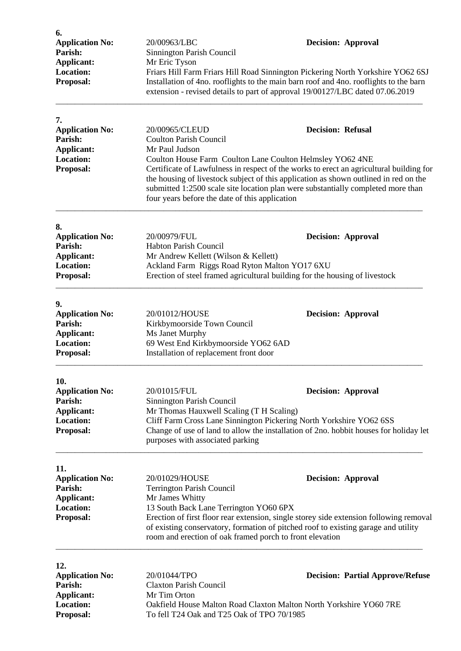| 6.<br><b>Application No:</b><br>Parish:<br>Applicant:<br><b>Location:</b><br>Proposal:         | 20/00963/LBC<br>Sinnington Parish Council<br>Mr Eric Tyson                                                                                                                                                                                                                                                                                                                                                                                                                          | <b>Decision: Approval</b><br>Friars Hill Farm Friars Hill Road Sinnington Pickering North Yorkshire YO62 6SJ<br>Installation of 4no. rooflights to the main barn roof and 4no. rooflights to the barn<br>extension - revised details to part of approval 19/00127/LBC dated 07.06.2019 |
|------------------------------------------------------------------------------------------------|-------------------------------------------------------------------------------------------------------------------------------------------------------------------------------------------------------------------------------------------------------------------------------------------------------------------------------------------------------------------------------------------------------------------------------------------------------------------------------------|----------------------------------------------------------------------------------------------------------------------------------------------------------------------------------------------------------------------------------------------------------------------------------------|
| 7.<br><b>Application No:</b><br>Parish:<br>Applicant:<br><b>Location:</b><br>Proposal:         | <b>Decision: Refusal</b><br>20/00965/CLEUD<br><b>Coulton Parish Council</b><br>Mr Paul Judson<br>Coulton House Farm Coulton Lane Coulton Helmsley YO62 4NE<br>Certificate of Lawfulness in respect of the works to erect an agricultural building for<br>the housing of livestock subject of this application as shown outlined in red on the<br>submitted 1:2500 scale site location plan were substantially completed more than<br>four years before the date of this application |                                                                                                                                                                                                                                                                                        |
| 8.<br><b>Application No:</b><br>Parish:<br>Applicant:<br><b>Location:</b><br>Proposal:         | 20/00979/FUL<br>Habton Parish Council<br>Mr Andrew Kellett (Wilson & Kellett)<br>Ackland Farm Riggs Road Ryton Malton YO17 6XU<br>Erection of steel framed agricultural building for the housing of livestock                                                                                                                                                                                                                                                                       | <b>Decision: Approval</b>                                                                                                                                                                                                                                                              |
| 9.<br><b>Application No:</b><br>Parish:<br>Applicant:<br><b>Location:</b><br>Proposal:         | 20/01012/HOUSE<br>Kirkbymoorside Town Council<br>Ms Janet Murphy<br>69 West End Kirkbymoorside YO62 6AD<br>Installation of replacement front door                                                                                                                                                                                                                                                                                                                                   | <b>Decision: Approval</b>                                                                                                                                                                                                                                                              |
| 10.<br><b>Application No:</b><br>Parish:<br>Applicant:<br><b>Location:</b><br>Proposal:        | 20/01015/FUL<br>Sinnington Parish Council<br>Mr Thomas Hauxwell Scaling (T H Scaling)<br>Cliff Farm Cross Lane Sinnington Pickering North Yorkshire YO62 6SS<br>purposes with associated parking                                                                                                                                                                                                                                                                                    | <b>Decision: Approval</b><br>Change of use of land to allow the installation of 2no. hobbit houses for holiday let                                                                                                                                                                     |
| 11.<br><b>Application No:</b><br>Parish:<br>Applicant:<br><b>Location:</b><br>Proposal:        | 20/01029/HOUSE<br><b>Terrington Parish Council</b><br>Mr James Whitty<br>13 South Back Lane Terrington YO60 6PX<br>room and erection of oak framed porch to front elevation                                                                                                                                                                                                                                                                                                         | <b>Decision: Approval</b><br>Erection of first floor rear extension, single storey side extension following removal<br>of existing conservatory, formation of pitched roof to existing garage and utility                                                                              |
| 12.<br><b>Application No:</b><br>Parish:<br><b>Applicant:</b><br><b>Location:</b><br>Proposal: | 20/01044/TPO<br><b>Decision: Partial Approve/Refuse</b><br><b>Claxton Parish Council</b><br>Mr Tim Orton<br>Oakfield House Malton Road Claxton Malton North Yorkshire YO60 7RE<br>To fell T24 Oak and T25 Oak of TPO 70/1985                                                                                                                                                                                                                                                        |                                                                                                                                                                                                                                                                                        |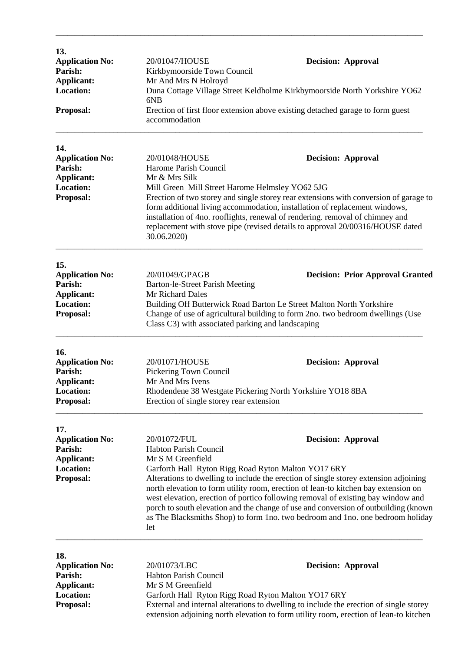| 13.<br><b>Application No:</b><br>Parish:<br><b>Applicant:</b><br><b>Location:</b><br>Proposal: | 20/01047/HOUSE<br>Kirkbymoorside Town Council<br>Mr And Mrs N Holroyd<br>6N <sub>B</sub><br>accommodation                                                                                                                                                                                                                                                                                                                                                                                             | <b>Decision: Approval</b><br>Duna Cottage Village Street Keldholme Kirkbymoorside North Yorkshire YO62<br>Erection of first floor extension above existing detached garage to form guest |  |
|------------------------------------------------------------------------------------------------|-------------------------------------------------------------------------------------------------------------------------------------------------------------------------------------------------------------------------------------------------------------------------------------------------------------------------------------------------------------------------------------------------------------------------------------------------------------------------------------------------------|------------------------------------------------------------------------------------------------------------------------------------------------------------------------------------------|--|
|                                                                                                |                                                                                                                                                                                                                                                                                                                                                                                                                                                                                                       |                                                                                                                                                                                          |  |
| 14.<br><b>Application No:</b><br>Parish:<br>Applicant:<br><b>Location:</b><br><b>Proposal:</b> | 20/01048/HOUSE<br><b>Decision: Approval</b><br>Harome Parish Council<br>Mr & Mrs Silk<br>Mill Green Mill Street Harome Helmsley YO62 5JG<br>Erection of two storey and single storey rear extensions with conversion of garage to<br>form additional living accommodation, installation of replacement windows,<br>installation of 4no. rooflights, renewal of rendering. removal of chimney and                                                                                                      |                                                                                                                                                                                          |  |
|                                                                                                | 30.06.2020)                                                                                                                                                                                                                                                                                                                                                                                                                                                                                           | replacement with stove pipe (revised details to approval 20/00316/HOUSE dated                                                                                                            |  |
| 15.                                                                                            |                                                                                                                                                                                                                                                                                                                                                                                                                                                                                                       |                                                                                                                                                                                          |  |
| <b>Application No:</b><br>Parish:<br><b>Applicant:</b>                                         | 20/01049/GPAGB<br>Barton-le-Street Parish Meeting<br>Mr Richard Dales                                                                                                                                                                                                                                                                                                                                                                                                                                 | <b>Decision: Prior Approval Granted</b>                                                                                                                                                  |  |
| <b>Location:</b><br><b>Proposal:</b>                                                           | Building Off Butterwick Road Barton Le Street Malton North Yorkshire<br>Change of use of agricultural building to form 2no. two bedroom dwellings (Use<br>Class C3) with associated parking and landscaping                                                                                                                                                                                                                                                                                           |                                                                                                                                                                                          |  |
| 16.                                                                                            |                                                                                                                                                                                                                                                                                                                                                                                                                                                                                                       |                                                                                                                                                                                          |  |
| <b>Application No:</b><br>Parish:<br><b>Applicant:</b>                                         | 20/01071/HOUSE<br><b>Decision: Approval</b><br>Pickering Town Council<br>Mr And Mrs Ivens                                                                                                                                                                                                                                                                                                                                                                                                             |                                                                                                                                                                                          |  |
| <b>Location:</b><br><b>Proposal:</b>                                                           | Rhodendene 38 Westgate Pickering North Yorkshire YO18 8BA<br>Erection of single storey rear extension                                                                                                                                                                                                                                                                                                                                                                                                 |                                                                                                                                                                                          |  |
| 17.                                                                                            |                                                                                                                                                                                                                                                                                                                                                                                                                                                                                                       |                                                                                                                                                                                          |  |
| <b>Application No:</b><br>Parish:<br><b>Applicant:</b>                                         | 20/01072/FUL<br><b>Decision: Approval</b><br><b>Habton Parish Council</b><br>Mr S M Greenfield                                                                                                                                                                                                                                                                                                                                                                                                        |                                                                                                                                                                                          |  |
| <b>Location:</b><br><b>Proposal:</b>                                                           | Garforth Hall Ryton Rigg Road Ryton Malton YO17 6RY<br>Alterations to dwelling to include the erection of single storey extension adjoining<br>north elevation to form utility room, erection of lean-to kitchen bay extension on<br>west elevation, erection of portico following removal of existing bay window and<br>porch to south elevation and the change of use and conversion of outbuilding (known<br>as The Blacksmiths Shop) to form 1no. two bedroom and 1no. one bedroom holiday<br>let |                                                                                                                                                                                          |  |
| 18.                                                                                            |                                                                                                                                                                                                                                                                                                                                                                                                                                                                                                       |                                                                                                                                                                                          |  |
| <b>Application No:</b><br><b>Parish:</b>                                                       | 20/01073/LBC<br>Habton Parish Council                                                                                                                                                                                                                                                                                                                                                                                                                                                                 | <b>Decision: Approval</b>                                                                                                                                                                |  |
| <b>Applicant:</b><br><b>Location:</b>                                                          | Mr S M Greenfield<br>Garforth Hall Ryton Rigg Road Ryton Malton YO17 6RY                                                                                                                                                                                                                                                                                                                                                                                                                              |                                                                                                                                                                                          |  |
| Proposal:                                                                                      | External and internal alterations to dwelling to include the erection of single storey<br>extension adjoining north elevation to form utility room, erection of lean-to kitchen                                                                                                                                                                                                                                                                                                                       |                                                                                                                                                                                          |  |

\_\_\_\_\_\_\_\_\_\_\_\_\_\_\_\_\_\_\_\_\_\_\_\_\_\_\_\_\_\_\_\_\_\_\_\_\_\_\_\_\_\_\_\_\_\_\_\_\_\_\_\_\_\_\_\_\_\_\_\_\_\_\_\_\_\_\_\_\_\_\_\_\_\_\_\_\_\_\_\_\_\_\_\_\_\_\_\_\_\_\_\_\_\_\_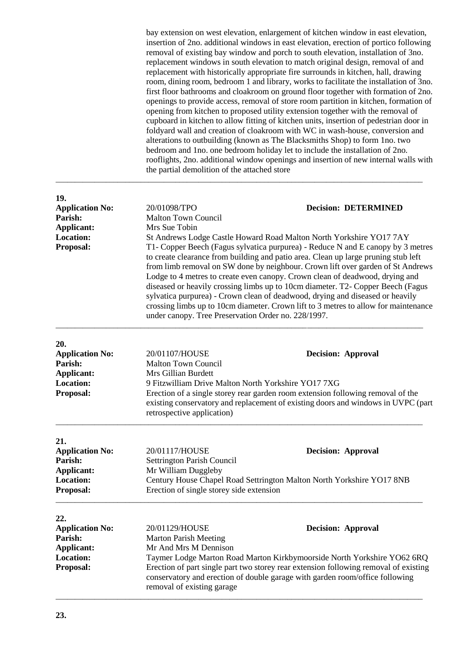bay extension on west elevation, enlargement of kitchen window in east elevation, insertion of 2no. additional windows in east elevation, erection of portico following removal of existing bay window and porch to south elevation, installation of 3no. replacement windows in south elevation to match original design, removal of and replacement with historically appropriate fire surrounds in kitchen, hall, drawing room, dining room, bedroom 1 and library, works to facilitate the installation of 3no. first floor bathrooms and cloakroom on ground floor together with formation of 2no. openings to provide access, removal of store room partition in kitchen, formation of opening from kitchen to proposed utility extension together with the removal of cupboard in kitchen to allow fitting of kitchen units, insertion of pedestrian door in foldyard wall and creation of cloakroom with WC in wash-house, conversion and alterations to outbuilding (known as The Blacksmiths Shop) to form 1no. two bedroom and 1no. one bedroom holiday let to include the installation of 2no. rooflights, 2no. additional window openings and insertion of new internal walls with the partial demolition of the attached store \_\_\_\_\_\_\_\_\_\_\_\_\_\_\_\_\_\_\_\_\_\_\_\_\_\_\_\_\_\_\_\_\_\_\_\_\_\_\_\_\_\_\_\_\_\_\_\_\_\_\_\_\_\_\_\_\_\_\_\_\_\_\_\_\_\_\_\_\_\_\_\_\_\_\_\_\_\_\_\_\_\_\_\_\_\_\_\_\_\_\_\_\_\_\_

| 19.                    |                                                                                                                                                                                                                                                                                                                                                                                                                                                                                                                                                                                                                                                            |                                                                         |  |  |
|------------------------|------------------------------------------------------------------------------------------------------------------------------------------------------------------------------------------------------------------------------------------------------------------------------------------------------------------------------------------------------------------------------------------------------------------------------------------------------------------------------------------------------------------------------------------------------------------------------------------------------------------------------------------------------------|-------------------------------------------------------------------------|--|--|
| <b>Application No:</b> | 20/01098/TPO                                                                                                                                                                                                                                                                                                                                                                                                                                                                                                                                                                                                                                               | <b>Decision: DETERMINED</b>                                             |  |  |
| Parish:                | <b>Malton Town Council</b><br>Mrs Sue Tobin                                                                                                                                                                                                                                                                                                                                                                                                                                                                                                                                                                                                                |                                                                         |  |  |
| Applicant:             |                                                                                                                                                                                                                                                                                                                                                                                                                                                                                                                                                                                                                                                            |                                                                         |  |  |
| <b>Location:</b>       |                                                                                                                                                                                                                                                                                                                                                                                                                                                                                                                                                                                                                                                            | St Andrews Lodge Castle Howard Road Malton North Yorkshire YO17 7AY     |  |  |
| Proposal:              | T1- Copper Beech (Fagus sylvatica purpurea) - Reduce N and E canopy by 3 metres<br>to create clearance from building and patio area. Clean up large pruning stub left<br>from limb removal on SW done by neighbour. Crown lift over garden of St Andrews<br>Lodge to 4 metres to create even canopy. Crown clean of deadwood, drying and<br>diseased or heavily crossing limbs up to 10cm diameter. T2- Copper Beech (Fagus<br>sylvatica purpurea) - Crown clean of deadwood, drying and diseased or heavily<br>crossing limbs up to 10cm diameter. Crown lift to 3 metres to allow for maintenance<br>under canopy. Tree Preservation Order no. 228/1997. |                                                                         |  |  |
| 20.                    |                                                                                                                                                                                                                                                                                                                                                                                                                                                                                                                                                                                                                                                            |                                                                         |  |  |
| <b>Application No:</b> | 20/01107/HOUSE                                                                                                                                                                                                                                                                                                                                                                                                                                                                                                                                                                                                                                             | <b>Decision: Approval</b>                                               |  |  |
| Parish:                | <b>Malton Town Council</b>                                                                                                                                                                                                                                                                                                                                                                                                                                                                                                                                                                                                                                 |                                                                         |  |  |
| Applicant:             | Mrs Gillian Burdett                                                                                                                                                                                                                                                                                                                                                                                                                                                                                                                                                                                                                                        |                                                                         |  |  |
| <b>Location:</b>       | 9 Fitzwilliam Drive Malton North Yorkshire YO17 7XG                                                                                                                                                                                                                                                                                                                                                                                                                                                                                                                                                                                                        |                                                                         |  |  |
| Proposal:              | Erection of a single storey rear garden room extension following removal of the<br>existing conservatory and replacement of existing doors and windows in UVPC (part<br>retrospective application)                                                                                                                                                                                                                                                                                                                                                                                                                                                         |                                                                         |  |  |
| 21.                    |                                                                                                                                                                                                                                                                                                                                                                                                                                                                                                                                                                                                                                                            |                                                                         |  |  |
| <b>Application No:</b> | 20/01117/HOUSE                                                                                                                                                                                                                                                                                                                                                                                                                                                                                                                                                                                                                                             | <b>Decision: Approval</b>                                               |  |  |
| Parish:                | Settrington Parish Council                                                                                                                                                                                                                                                                                                                                                                                                                                                                                                                                                                                                                                 |                                                                         |  |  |
| <b>Applicant:</b>      | Mr William Duggleby                                                                                                                                                                                                                                                                                                                                                                                                                                                                                                                                                                                                                                        |                                                                         |  |  |
| <b>Location:</b>       | Century House Chapel Road Settrington Malton North Yorkshire YO17 8NB                                                                                                                                                                                                                                                                                                                                                                                                                                                                                                                                                                                      |                                                                         |  |  |
| Proposal:              | Erection of single storey side extension                                                                                                                                                                                                                                                                                                                                                                                                                                                                                                                                                                                                                   |                                                                         |  |  |
| 22.                    |                                                                                                                                                                                                                                                                                                                                                                                                                                                                                                                                                                                                                                                            |                                                                         |  |  |
| <b>Application No:</b> | 20/01129/HOUSE                                                                                                                                                                                                                                                                                                                                                                                                                                                                                                                                                                                                                                             | <b>Decision: Approval</b>                                               |  |  |
| Parish:                | <b>Marton Parish Meeting</b>                                                                                                                                                                                                                                                                                                                                                                                                                                                                                                                                                                                                                               |                                                                         |  |  |
| Applicant:             | Mr And Mrs M Dennison                                                                                                                                                                                                                                                                                                                                                                                                                                                                                                                                                                                                                                      |                                                                         |  |  |
| <b>Location:</b>       |                                                                                                                                                                                                                                                                                                                                                                                                                                                                                                                                                                                                                                                            | Taymer Lodge Marton Road Marton Kirkbymoorside North Yorkshire YO62 6RQ |  |  |
| Proposal:              | Erection of part single part two storey rear extension following removal of existing<br>conservatory and erection of double garage with garden room/office following<br>removal of existing garage                                                                                                                                                                                                                                                                                                                                                                                                                                                         |                                                                         |  |  |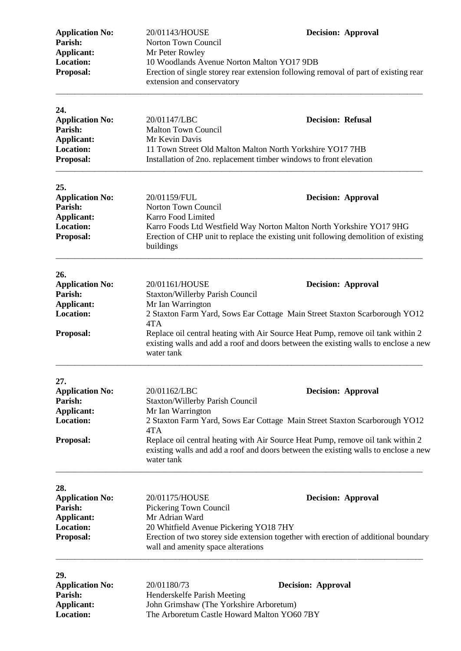| <b>Application No:</b><br>Parish:     | 20/01143/HOUSE<br>Norton Town Council                                                                                                                                                | <b>Decision: Approval</b> |  |
|---------------------------------------|--------------------------------------------------------------------------------------------------------------------------------------------------------------------------------------|---------------------------|--|
| Applicant:                            | Mr Peter Rowley                                                                                                                                                                      |                           |  |
| <b>Location:</b><br>Proposal:         | 10 Woodlands Avenue Norton Malton YO17 9DB<br>Erection of single storey rear extension following removal of part of existing rear<br>extension and conservatory                      |                           |  |
| 24.                                   |                                                                                                                                                                                      |                           |  |
| <b>Application No:</b>                | 20/01147/LBC                                                                                                                                                                         | <b>Decision: Refusal</b>  |  |
| Parish:<br><b>Applicant:</b>          | <b>Malton Town Council</b><br>Mr Kevin Davis                                                                                                                                         |                           |  |
| <b>Location:</b>                      | 11 Town Street Old Malton Malton North Yorkshire YO17 7HB                                                                                                                            |                           |  |
| Proposal:                             | Installation of 2no. replacement timber windows to front elevation                                                                                                                   |                           |  |
| 25.                                   |                                                                                                                                                                                      |                           |  |
| <b>Application No:</b>                | 20/01159/FUL                                                                                                                                                                         | <b>Decision: Approval</b> |  |
| Parish:                               | Norton Town Council                                                                                                                                                                  |                           |  |
| <b>Applicant:</b><br><b>Location:</b> | Karro Food Limited                                                                                                                                                                   |                           |  |
| Proposal:                             | Karro Foods Ltd Westfield Way Norton Malton North Yorkshire YO17 9HG<br>Erection of CHP unit to replace the existing unit following demolition of existing<br>buildings              |                           |  |
| 26.                                   |                                                                                                                                                                                      |                           |  |
| <b>Application No:</b>                | 20/01161/HOUSE                                                                                                                                                                       | <b>Decision: Approval</b> |  |
| Parish:                               | Staxton/Willerby Parish Council                                                                                                                                                      |                           |  |
| <b>Applicant:</b><br><b>Location:</b> | Mr Ian Warrington<br>2 Staxton Farm Yard, Sows Ear Cottage Main Street Staxton Scarborough YO12                                                                                      |                           |  |
|                                       | 4TA                                                                                                                                                                                  |                           |  |
| Proposal:                             | Replace oil central heating with Air Source Heat Pump, remove oil tank within 2<br>existing walls and add a roof and doors between the existing walls to enclose a new<br>water tank |                           |  |
| 27.                                   |                                                                                                                                                                                      |                           |  |
| <b>Application No:</b>                | 20/01162/LBC                                                                                                                                                                         | <b>Decision: Approval</b> |  |
| Parish:                               | <b>Staxton/Willerby Parish Council</b>                                                                                                                                               |                           |  |
| Applicant:<br><b>Location:</b>        | Mr Ian Warrington<br>2 Staxton Farm Yard, Sows Ear Cottage Main Street Staxton Scarborough YO12                                                                                      |                           |  |
|                                       | 4TA                                                                                                                                                                                  |                           |  |
| Proposal:                             | Replace oil central heating with Air Source Heat Pump, remove oil tank within 2<br>existing walls and add a roof and doors between the existing walls to enclose a new<br>water tank |                           |  |
| 28.                                   |                                                                                                                                                                                      |                           |  |
| <b>Application No:</b>                | 20/01175/HOUSE                                                                                                                                                                       | <b>Decision: Approval</b> |  |
| Parish:                               | Pickering Town Council                                                                                                                                                               |                           |  |
| <b>Applicant:</b>                     | Mr Adrian Ward                                                                                                                                                                       |                           |  |
| <b>Location:</b><br>Proposal:         | 20 Whitfield Avenue Pickering YO18 7HY<br>Erection of two storey side extension together with erection of additional boundary<br>wall and amenity space alterations                  |                           |  |
| 29.                                   |                                                                                                                                                                                      |                           |  |
| <b>Application No:</b>                | 20/01180/73                                                                                                                                                                          | <b>Decision: Approval</b> |  |
| Parish:                               | Henderskelfe Parish Meeting                                                                                                                                                          |                           |  |
| <b>Applicant:</b>                     | John Grimshaw (The Yorkshire Arboretum)<br>The Arboretum Castle Howard Malton YO60 7BY                                                                                               |                           |  |
| <b>Location:</b>                      |                                                                                                                                                                                      |                           |  |